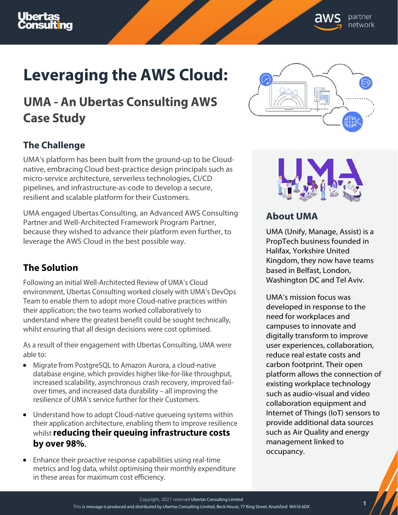

# **Leveraging the AWS Cloud:**

# **UMA - An Ubertas Consulting AWS Case Study**

## **The Challenge**

UMA's platform has been built from the ground-up to be Cloudnative, embracing Cloud best-practice design principals such as micro-service architecture, serverless technologies, CI/CD pipelines, and infrastructure-as-code to develop a secure, resilient and scalable platform for their Customers.

UMA engaged Ubertas Consulting, an Advanced AWS Consulting Partner and Well-Architected Framework Program Partner, because they wished to advance their platform even further, to leverage the AWS Cloud in the best possible way.

#### **The Solution**

Following an initial Well-Architected Review of UMA's Cloud environment, Ubertas Consulting worked closely with UMA's DevOps Team to enable them to adopt more Cloud-native practices within their application; the two teams worked collaboratively to understand where the greatest benefit could be sought technically, whilst ensuring that all design decisions were cost optimised.

As a result of their engagement with Ubertas Consulting, UMA were able to:

- Migrate from PostgreSQL to Amazon Aurora, a cloud-native database engine, which provides higher like-for-like throughput, increased scalability, asynchronous crash recovery, improved failover times, and increased data durability – all improving the resilience of UMA's service further for their Customers.
- Understand how to adopt Cloud-native queueing systems within their application architecture, enabling them to improve resilience whilst **reducing their queuing infrastructure costs by over 98%**.
- Enhance their proactive response capabilities using real-time metrics and log data, whilst optimising their monthly expenditure in these areas for maximum cost efficiency.





### **About UMA**

UMA (Unify, Manage, Assist) is a PropTech business founded in Halifax, Yorkshire United Kingdom, they now have teams based in Belfast, London, Washington DC and Tel Aviv.

UMA's mission focus was developed in response to the need for workplaces and campuses to innovate and digitally transform to improve user experiences, collaboration, reduce real estate costs and carbon footprint. Their open platform allows the connection of existing workplace technology such as audio-visual and video collaboration equipment and Internet of Things (IoT) sensors to provide additional data sources such as Air Quality and energy management linked to occupancy.